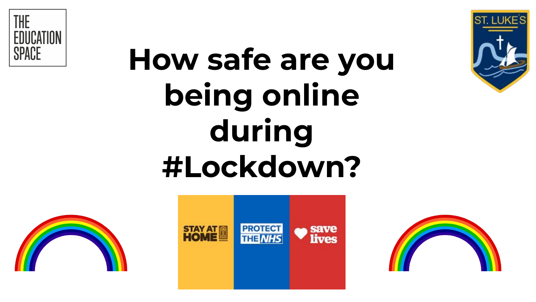

# **How safe are you being online during #Lockdown?**







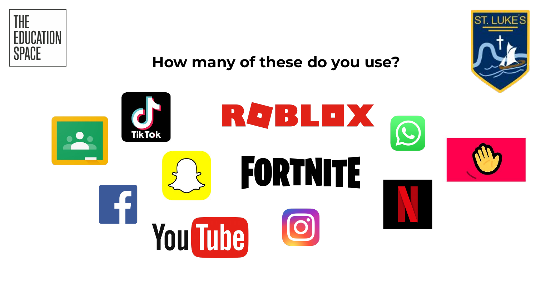

### **How many of these do you use?**



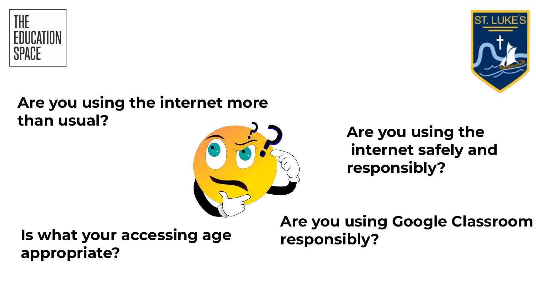



### **Are you using the internet more than usual?**



## **Are you using the internet safely and responsibly?**

**Is what your accessing age appropriate?**

**Are you using Google Classroom responsibly?**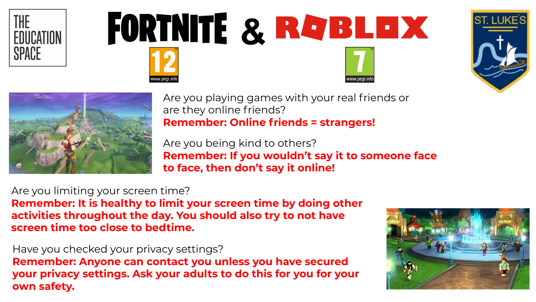







Are you playing games with your real friends or are they online friends? **Remember: Online friends = strangers!** 

Are you being kind to others? **Remember: If you wouldn't say it to someone face to face, then don't say it online!** 

Are you limiting your screen time? **Remember: It is healthy to limit your screen time by doing other activities throughout the day. You should also try to not have screen time too close to bedtime.**

Have you checked your privacy settings? **Remember: Anyone can contact you unless you have secured your privacy settings. Ask your adults to do this for you for your own safety.**

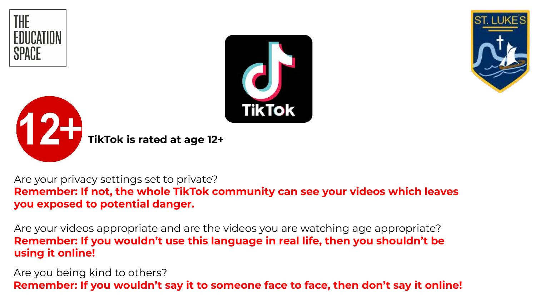







Are your privacy settings set to private? **Remember: If not, the whole TikTok community can see your videos which leaves you exposed to potential danger.**

Are your videos appropriate and are the videos you are watching age appropriate? **Remember: If you wouldn't use this language in real life, then you shouldn't be using it online!**

Are you being kind to others? **Remember: If you wouldn't say it to someone face to face, then don't say it online!**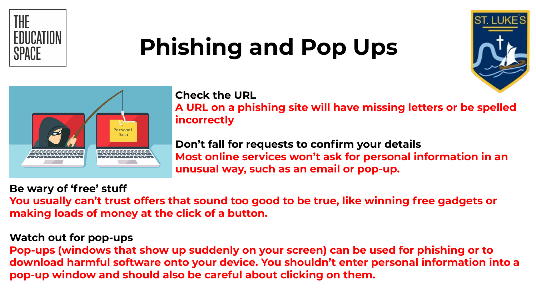

## **Phishing and Pop Ups**





#### **Check the URL**

**A URL on a phishing site will have missing letters or be spelled incorrectly**

**Don't fall for requests to confirm your details Most online services won't ask for personal information in an unusual way, such as an email or pop-up.**

#### **Be wary of 'free' stuff**

**You usually can't trust offers that sound too good to be true, like winning free gadgets or making loads of money at the click of a button.** 

#### **Watch out for pop-ups**

**Pop-ups (windows that show up suddenly on your screen) can be used for phishing or to download harmful software onto your device. You shouldn't enter personal information into a pop-up window and should also be careful about clicking on them.**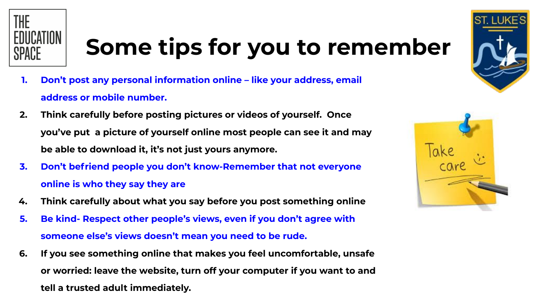

## **Some tips for you to remember**

- **1. Don't post any personal information online like your address, email address or mobile number.**
- **2. Think carefully before posting pictures or videos of yourself. Once you've put a picture of yourself online most people can see it and may be able to download it, it's not just yours anymore.**
- **3. Don't befriend people you don't know-Remember that not everyone online is who they say they are**
- **4. Think carefully about what you say before you post something online**
- **5. Be kind- Respect other people's views, even if you don't agree with someone else's views doesn't mean you need to be rude.**
- **6. If you see something online that makes you feel uncomfortable, unsafe or worried: leave the website, turn off your computer if you want to and tell a trusted adult immediately.**